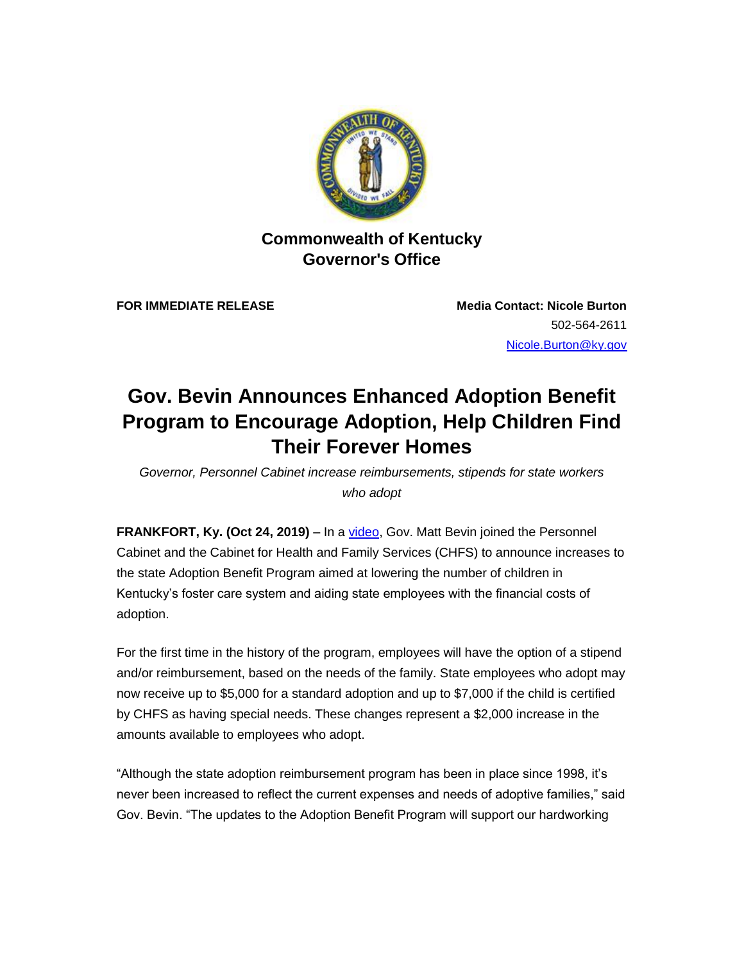

**Commonwealth of Kentucky Governor's Office** 

**FOR IMMEDIATE RELEASE Media Contact: Nicole Burton** 502-564-2611 [Nicole.Burton@ky.gov](mailto:nicole.burton@ky.gov)

## **Gov. Bevin Announces Enhanced Adoption Benefit Program to Encourage Adoption, Help Children Find Their Forever Homes**

*Governor, Personnel Cabinet increase reimbursements, stipends for state workers who adopt* 

**FRANKFORT, Ky. (Oct 24, 2019)** – In a [video,](https://urldefense.proofpoint.com/v2/url?u=https-3A__lnks.gd_l_eyJhbGciOiJIUzI1NiJ9.eyJidWxsZXRpbl9saW5rX2lkIjoxMDAsInVyaSI6ImJwMjpjbGljayIsImJ1bGxldGluX2lkIjoiMjAxOTEwMjUuMTIwMjUzNzEiLCJ1cmwiOiJodHRwczovL3d3dy55b3V0dWJlLmNvbS93YXRjaD92PUwwV3ZMMGJwWFlJJmZlYXR1cmU9eW91dHUuYmUifQ.z4hRfwEQUE7nNUy9ZhVOpMj17rD9vgJ-2DId8oCDOekSo_br_70543719377-2Dl&d=DwMFAA&c=jvUANN7rYqzaQJvTqI-69lgi41yDEZ3CXTgIEaHlx7c&r=3FE7TP56M-c85j-cGrXY5bFXIvX3NwBoap_frscDEq8&m=A-MgBEokqOiCiCNj699LtR7TyW74cZvVk8hzGl2WDs0&s=hcCl4J1jDzkC8nuUA-bRXFUhbKlhh_Pd2dicCBh_f7I&e=) Gov. Matt Bevin joined the Personnel Cabinet and the Cabinet for Health and Family Services (CHFS) to announce increases to the state Adoption Benefit Program aimed at lowering the number of children in Kentucky's foster care system and aiding state employees with the financial costs of adoption.

For the first time in the history of the program, employees will have the option of a stipend and/or reimbursement, based on the needs of the family. State employees who adopt may now receive up to \$5,000 for a standard adoption and up to \$7,000 if the child is certified by CHFS as having special needs. These changes represent a \$2,000 increase in the amounts available to employees who adopt.

"Although the state adoption reimbursement program has been in place since 1998, it's never been increased to reflect the current expenses and needs of adoptive families," said Gov. Bevin. "The updates to the Adoption Benefit Program will support our hardworking